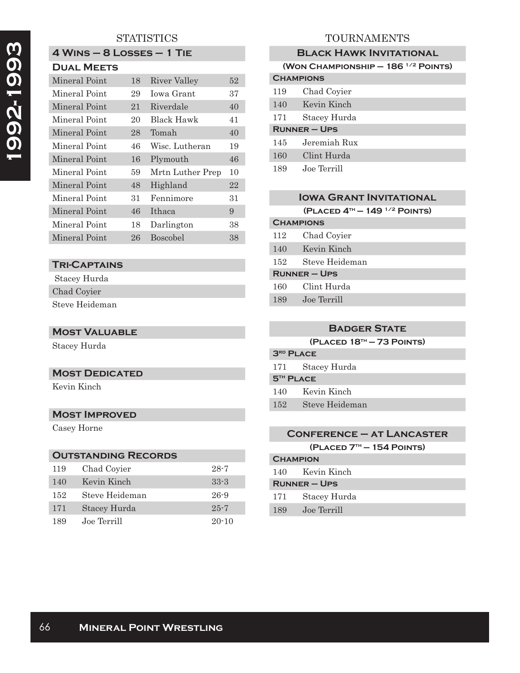### **STATISTICS**

| 4 WINS – 8 LOSSES – 1 TIE |  |
|---------------------------|--|
| <b>DUAL MEETS</b>         |  |

| PUAL MELIJ    |    |                  |    |
|---------------|----|------------------|----|
| Mineral Point | 18 | River Valley     | 52 |
| Mineral Point | 29 | Iowa Grant       | 37 |
| Mineral Point | 21 | Riverdale        | 40 |
| Mineral Point | 20 | Black Hawk       | 41 |
| Mineral Point | 28 | Tomah            | 40 |
| Mineral Point | 46 | Wisc. Lutheran   | 19 |
| Mineral Point | 16 | Plymouth         | 46 |
| Mineral Point | 59 | Mrtn Luther Prep | 10 |
| Mineral Point | 48 | Highland         | 22 |
| Mineral Point | 31 | Fennimore        | 31 |
| Mineral Point | 46 | Ithaca           | 9  |
| Mineral Point | 18 | Darlington       | 38 |
| Mineral Point | 26 | <b>Boscobel</b>  | 38 |

### **Tri-Captains**

 Stacey Hurda Chad Coyier

Steve Heideman

### **Most Valuable**

Stacey Hurda

#### **MOST DEDICATED**

Kevin Kinch

### **Most Improved**

Casey Horne

### **Outstanding Records**

| 119 | Chad Coyier    | $28 - 7$  |
|-----|----------------|-----------|
| 140 | Kevin Kinch    | $33-3$    |
| 152 | Steve Heideman | $26 - 9$  |
| 171 | Stacey Hurda   | $25 - 7$  |
| 189 | Joe Terrill    | $20 - 10$ |

## TOURNAMENTS

| <b>BLACK HAWK INVITATIONAL</b>            |  |  |
|-------------------------------------------|--|--|
| (WON CHAMPIONSHIP $-186$ $^{1/2}$ POINTS) |  |  |
| <b>CHAMPIONS</b>                          |  |  |
| Chad Coyier                               |  |  |
| Kevin Kinch                               |  |  |
| Stacey Hurda                              |  |  |
| <b>RUNNER – UPS</b>                       |  |  |
| Jeremiah Rux                              |  |  |
| Clint Hurda                               |  |  |
| Joe Terrill                               |  |  |
|                                           |  |  |

# **IOWA GRANT INVITATIONAL**

**(Placed 4th — 149 1/2 Points)**

## **Champions** 112 Chad Coyier 140 Kevin Kinch 152 Steve Heideman **Runner – Ups** 160 Clint Hurda 189 Joe Terrill

## **Badger State**

**(Placed 18th — 73 Points)**

| 3 <sup>RD</sup> PLACE       |                  |  |
|-----------------------------|------------------|--|
|                             | 171 Stacey Hurda |  |
| <b>5<sup>TH</sup> PLACE</b> |                  |  |
|                             | 140 Kevin Kinch  |  |
| 152                         | Steve Heideman   |  |

### **Conference – at Lancaster (Placed 7th — 154 Points)**

| <b>CHAMPION</b>     |                 |
|---------------------|-----------------|
|                     | 140 Kevin Kinch |
| <b>RUNNER – UPS</b> |                 |
| 171                 | Stacey Hurda    |
| 189                 | Joe Terrill     |